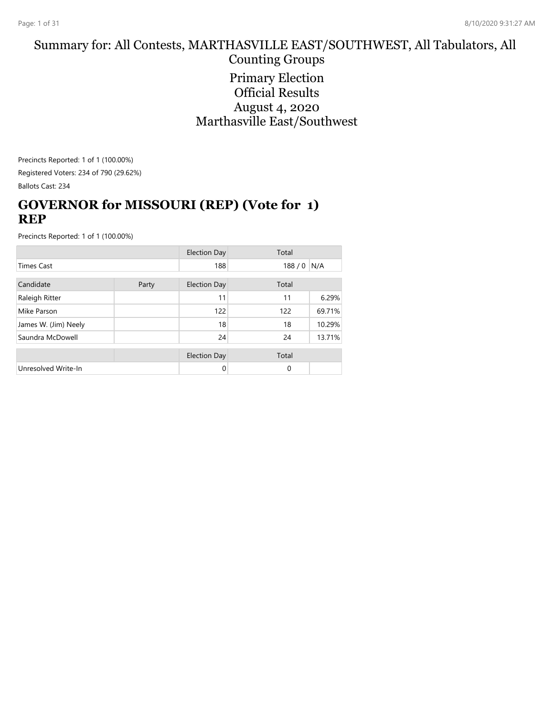#### Summary for: All Contests, MARTHASVILLE EAST/SOUTHWEST, All Tabulators, All Counting Groups

Primary Election Official Results August 4, 2020 Marthasville East/Southwest

Precincts Reported: 1 of 1 (100.00%) Registered Voters: 234 of 790 (29.62%) Ballots Cast: 234

# **GOVERNOR for MISSOURI (REP) (Vote for 1) REP**

|                      |  | <b>Election Day</b> | Total |        |
|----------------------|--|---------------------|-------|--------|
| <b>Times Cast</b>    |  | 188                 | 188/0 | N/A    |
| Candidate<br>Party   |  | <b>Election Day</b> | Total |        |
| Raleigh Ritter       |  | 11                  | 11    | 6.29%  |
| Mike Parson          |  | 122                 | 122   | 69.71% |
| James W. (Jim) Neely |  | 18                  | 18    | 10.29% |
| Saundra McDowell     |  | 24                  | 24    | 13.71% |
|                      |  | <b>Election Day</b> | Total |        |
| Unresolved Write-In  |  | 0                   | 0     |        |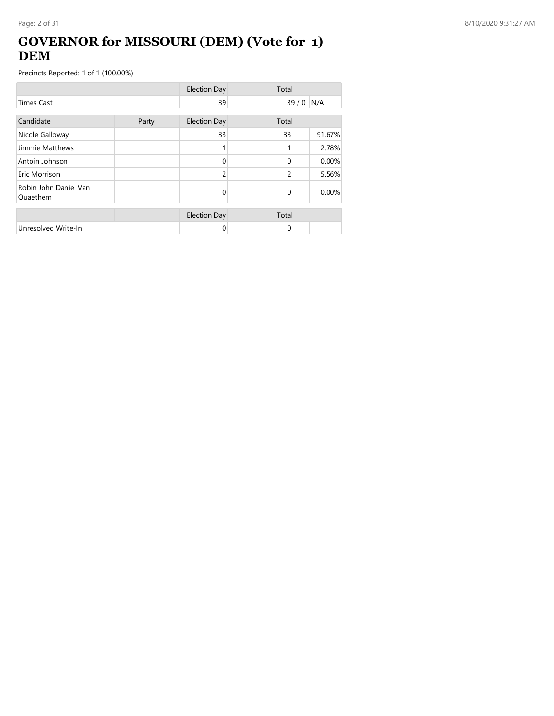### **GOVERNOR for MISSOURI (DEM) (Vote for 1) DEM**

|                                   |       | <b>Election Day</b> | Total    |        |
|-----------------------------------|-------|---------------------|----------|--------|
| <b>Times Cast</b>                 |       | 39                  | 39/0     | N/A    |
| Candidate                         | Party | <b>Election Day</b> | Total    |        |
| Nicole Galloway                   |       | 33                  | 33       | 91.67% |
| Jimmie Matthews                   |       |                     | 1        | 2.78%  |
| Antoin Johnson                    |       | $\Omega$            | $\Omega$ | 0.00%  |
| Eric Morrison                     |       | $\overline{c}$      | 2        | 5.56%  |
| Robin John Daniel Van<br>Quaethem |       | 0                   | $\Omega$ | 0.00%  |
|                                   |       | <b>Election Day</b> | Total    |        |
| Unresolved Write-In               |       | 0                   | 0        |        |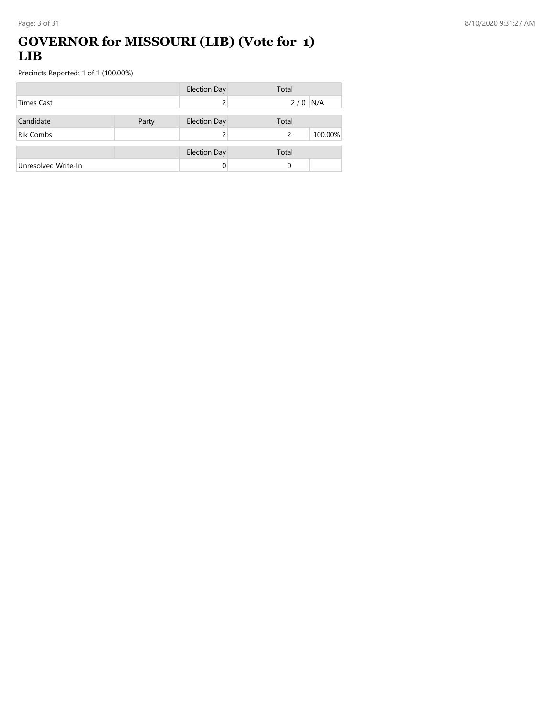#### **GOVERNOR for MISSOURI (LIB) (Vote for 1) LIB**

|                     |       | <b>Election Day</b> | Total                    |
|---------------------|-------|---------------------|--------------------------|
| <b>Times Cast</b>   |       |                     | $2/0$ N/A                |
| Candidate           | Party | <b>Election Day</b> | Total                    |
| <b>Rik Combs</b>    |       |                     | 100.00%<br>$\mathcal{P}$ |
|                     |       | <b>Election Day</b> | Total                    |
| Unresolved Write-In |       |                     | 0                        |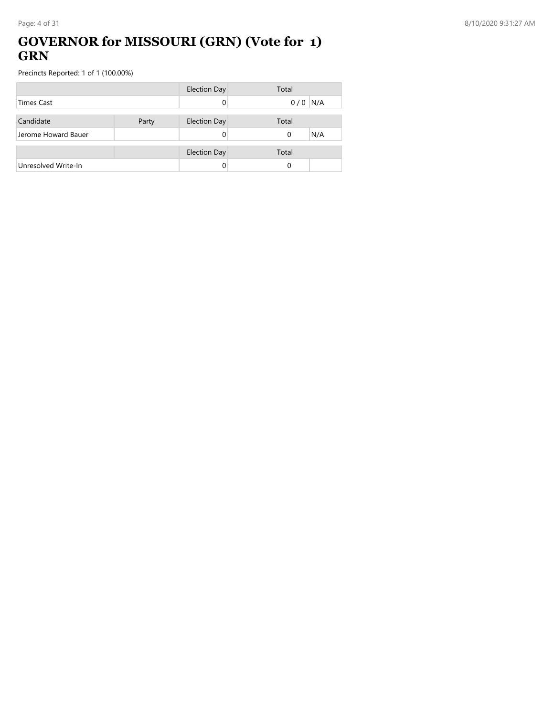#### **GOVERNOR for MISSOURI (GRN) (Vote for 1) GRN**

|                     |       | <b>Election Day</b> | Total           |
|---------------------|-------|---------------------|-----------------|
| <b>Times Cast</b>   |       |                     | N/A<br>0/0      |
|                     |       |                     |                 |
| Candidate           | Party | <b>Election Day</b> | Total           |
| Jerome Howard Bauer |       |                     | N/A<br>$\Omega$ |
|                     |       |                     |                 |
|                     |       | <b>Election Day</b> | Total           |
| Unresolved Write-In |       |                     | 0               |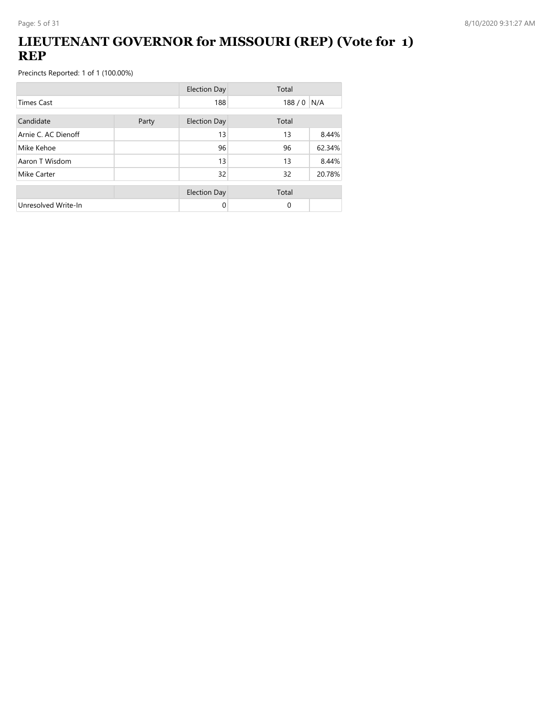### **LIEUTENANT GOVERNOR for MISSOURI (REP) (Vote for 1) REP**

|                     |       | <b>Election Day</b> | Total       |        |
|---------------------|-------|---------------------|-------------|--------|
| <b>Times Cast</b>   |       | 188                 | $188/0$ N/A |        |
| Candidate           | Party | <b>Election Day</b> | Total       |        |
| Arnie C. AC Dienoff |       | 13                  | 13          | 8.44%  |
| Mike Kehoe          |       | 96                  | 96          | 62.34% |
| Aaron T Wisdom      |       | 13                  | 13          | 8.44%  |
| Mike Carter         |       | 32                  | 32          | 20.78% |
|                     |       | <b>Election Day</b> | Total       |        |
| Unresolved Write-In |       | 0                   | $\Omega$    |        |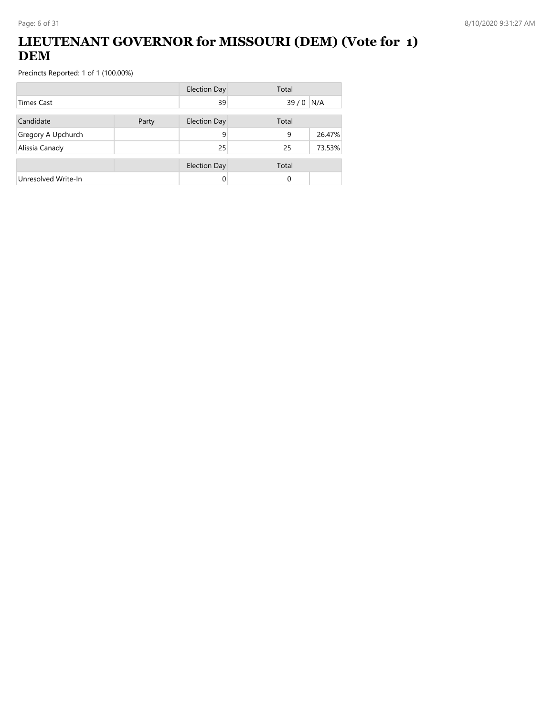## **LIEUTENANT GOVERNOR for MISSOURI (DEM) (Vote for 1) DEM**

|                     |       | <b>Election Day</b> | Total |        |
|---------------------|-------|---------------------|-------|--------|
| <b>Times Cast</b>   |       | 39                  | 39/0  | N/A    |
| Candidate           | Party | Election Day        | Total |        |
| Gregory A Upchurch  |       | 9                   | 9     | 26.47% |
| Alissia Canady      |       | 25                  | 25    | 73.53% |
|                     |       | <b>Election Day</b> | Total |        |
| Unresolved Write-In |       | 0                   | 0     |        |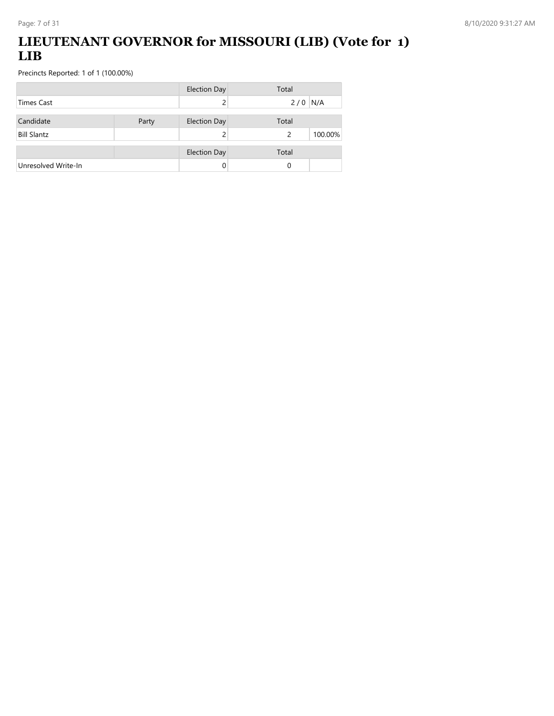## **LIEUTENANT GOVERNOR for MISSOURI (LIB) (Vote for 1) LIB**

|                     |       | <b>Election Day</b> | Total        |
|---------------------|-------|---------------------|--------------|
| Times Cast          |       |                     | N/A<br>2/0   |
| Candidate           | Party | <b>Election Day</b> | Total        |
| <b>Bill Slantz</b>  |       |                     | 100.00%<br>2 |
|                     |       | <b>Election Day</b> | Total        |
| Unresolved Write-In |       |                     | 0            |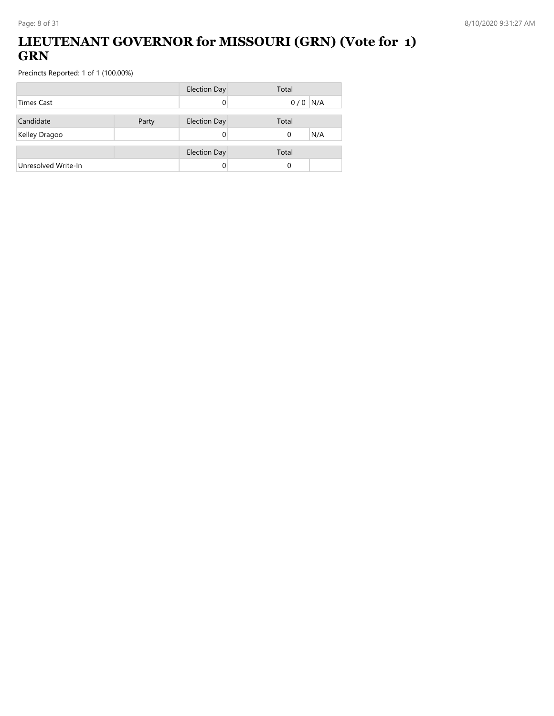## **LIEUTENANT GOVERNOR for MISSOURI (GRN) (Vote for 1) GRN**

|                     |       | <b>Election Day</b> | Total           |
|---------------------|-------|---------------------|-----------------|
| <b>Times Cast</b>   |       |                     | $0/0$ N/A       |
| Candidate           | Party | <b>Election Day</b> | Total           |
| Kelley Dragoo       |       |                     | N/A<br>$\Omega$ |
|                     |       |                     |                 |
|                     |       | <b>Election Day</b> | Total           |
| Unresolved Write-In |       |                     | 0               |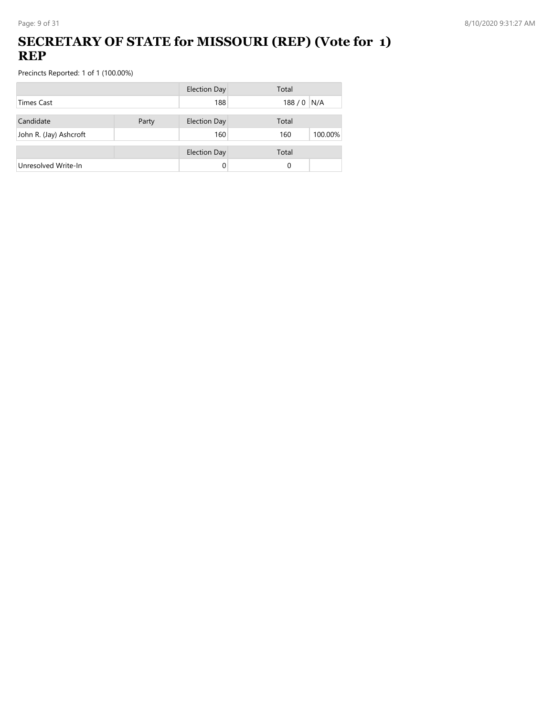### **SECRETARY OF STATE for MISSOURI (REP) (Vote for 1) REP**

|                        |       | <b>Election Day</b> | Total          |
|------------------------|-------|---------------------|----------------|
| <b>Times Cast</b>      |       | 188                 | 188 / 0 N/A    |
| Candidate              | Party | <b>Election Day</b> | Total          |
| John R. (Jay) Ashcroft |       | 160                 | 100.00%<br>160 |
|                        |       | <b>Election Day</b> | Total          |
| Unresolved Write-In    |       | 0                   | 0              |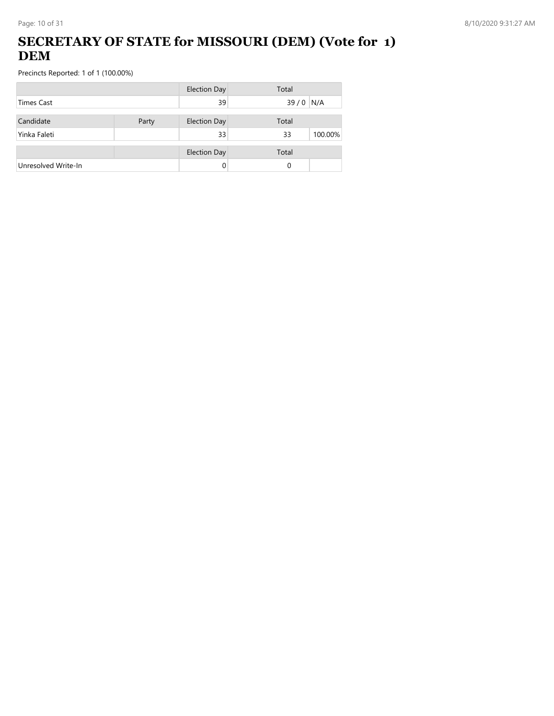## **SECRETARY OF STATE for MISSOURI (DEM) (Vote for 1) DEM**

|                     |       | <b>Election Day</b> | Total         |
|---------------------|-------|---------------------|---------------|
| <b>Times Cast</b>   |       | 39                  | $39/0$ N/A    |
| Candidate           | Party | <b>Election Day</b> | Total         |
| Yinka Faleti        |       | 33                  | 33<br>100.00% |
|                     |       | <b>Election Day</b> | Total         |
| Unresolved Write-In |       |                     | 0             |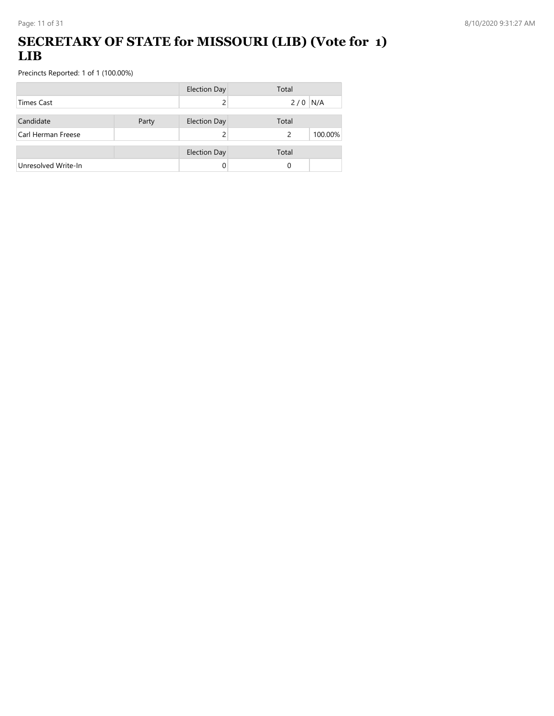#### **SECRETARY OF STATE for MISSOURI (LIB) (Vote for 1) LIB**

|                     |       | <b>Election Day</b> | Total        |
|---------------------|-------|---------------------|--------------|
| <b>Times Cast</b>   |       |                     | N/A<br>2/0   |
| Candidate           | Party | <b>Election Day</b> | Total        |
| Carl Herman Freese  |       |                     | 100.00%<br>2 |
|                     |       | <b>Election Day</b> | Total        |
| Unresolved Write-In |       |                     | 0            |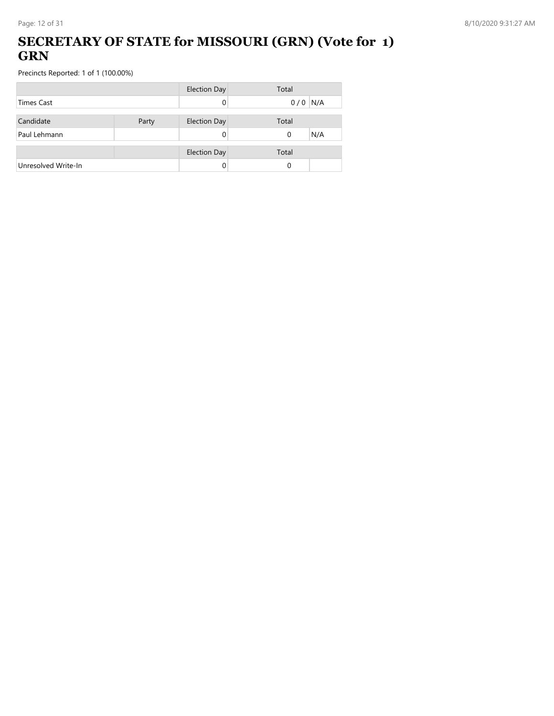#### **SECRETARY OF STATE for MISSOURI (GRN) (Vote for 1) GRN**

|                     |       | <b>Election Day</b> | Total           |
|---------------------|-------|---------------------|-----------------|
| <b>Times Cast</b>   |       |                     | $0/0$ N/A       |
| Candidate           | Party | <b>Election Day</b> | Total           |
| Paul Lehmann        |       |                     | N/A<br>$\Omega$ |
|                     |       | <b>Election Day</b> | Total           |
| Unresolved Write-In |       |                     | 0               |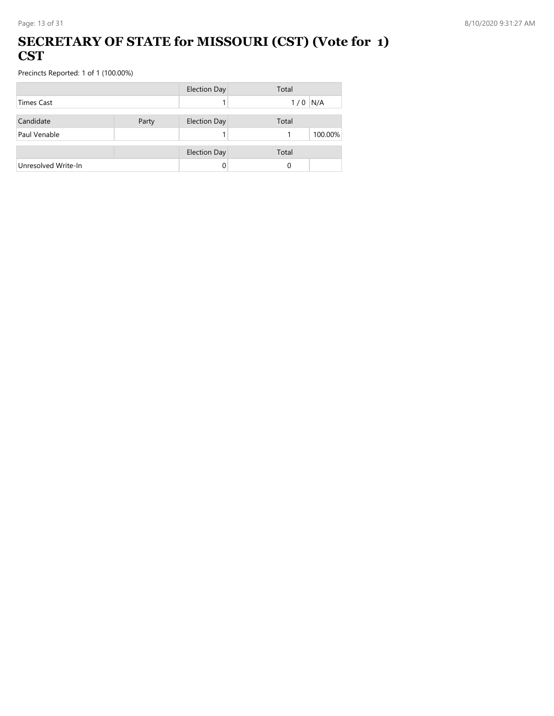#### **SECRETARY OF STATE for MISSOURI (CST) (Vote for 1) CST**

|                     |       | <b>Election Day</b> | Total      |
|---------------------|-------|---------------------|------------|
| <b>Times Cast</b>   |       |                     | N/A<br>1/0 |
| Candidate           | Party | <b>Election Day</b> | Total      |
| Paul Venable        |       |                     | 100.00%    |
|                     |       | <b>Election Day</b> | Total      |
| Unresolved Write-In |       | 0                   |            |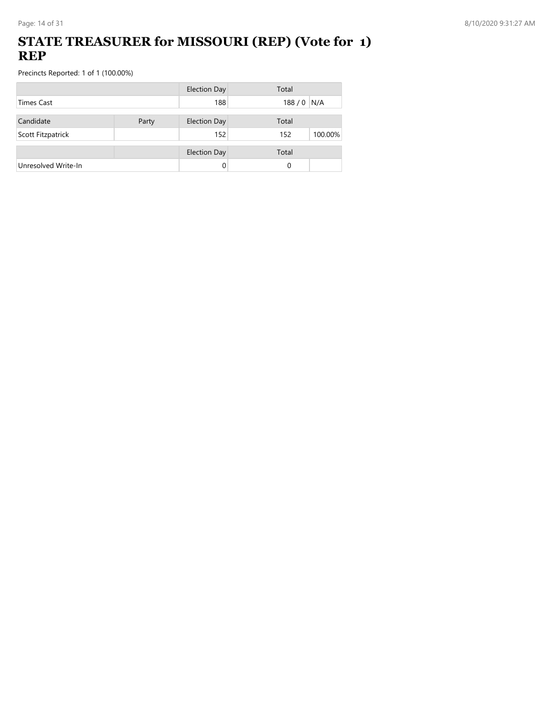#### **STATE TREASURER for MISSOURI (REP) (Vote for 1) REP**

|                     |       | <b>Election Day</b> | Total          |
|---------------------|-------|---------------------|----------------|
| <b>Times Cast</b>   |       | 188                 | $188/0$ N/A    |
| Candidate           |       |                     | Total          |
|                     | Party | <b>Election Day</b> |                |
| Scott Fitzpatrick   |       | 152                 | 100.00%<br>152 |
|                     |       | <b>Election Day</b> | Total          |
| Unresolved Write-In |       | 0                   | 0              |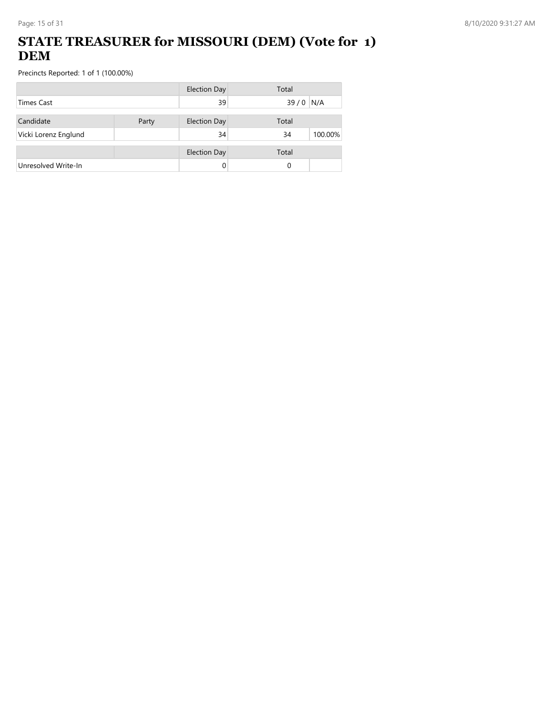## **STATE TREASURER for MISSOURI (DEM) (Vote for 1) DEM**

|                      |       | <b>Election Day</b> | Total         |
|----------------------|-------|---------------------|---------------|
| <b>Times Cast</b>    |       | 39                  | N/A<br>$39/0$ |
| Candidate            | Party | <b>Election Day</b> | Total         |
| Vicki Lorenz Englund |       | 34                  | 34<br>100.00% |
|                      |       | <b>Election Day</b> | Total         |
| Unresolved Write-In  |       |                     | 0             |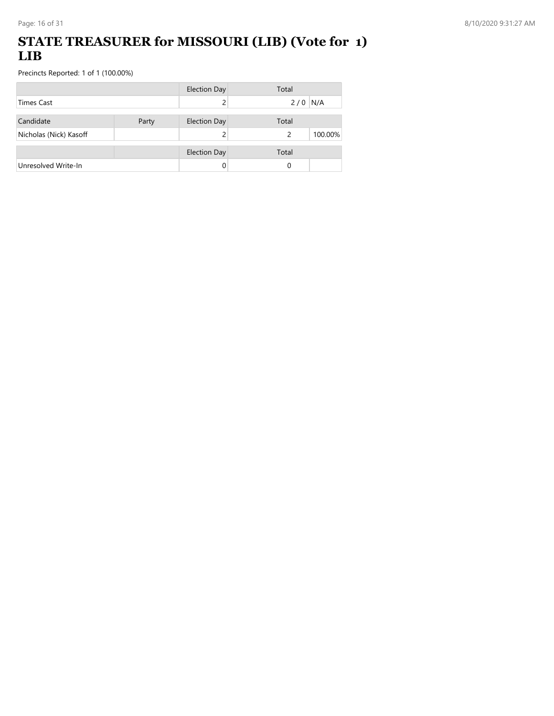#### **STATE TREASURER for MISSOURI (LIB) (Vote for 1) LIB**

|                        |       | <b>Election Day</b> | Total        |
|------------------------|-------|---------------------|--------------|
| <b>Times Cast</b>      |       |                     | N/A<br>2/0   |
| Candidate              | Party | <b>Election Day</b> | Total        |
| Nicholas (Nick) Kasoff |       |                     | 100.00%<br>2 |
|                        |       | <b>Election Day</b> | Total        |
| Unresolved Write-In    |       | 0                   | 0            |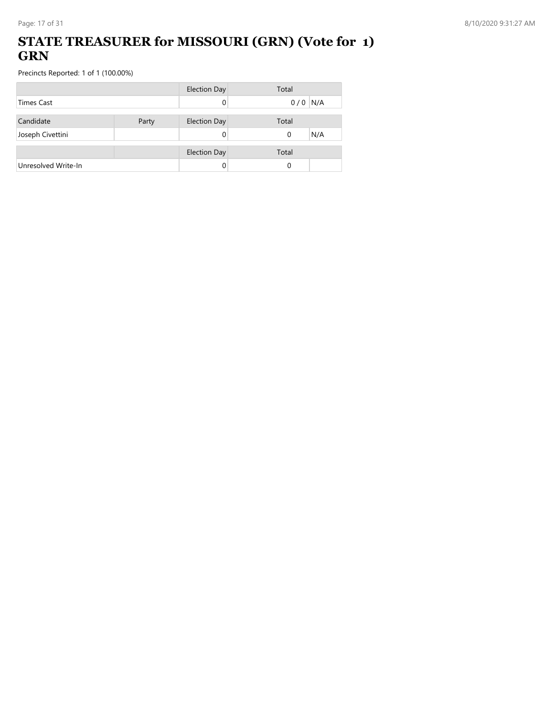#### **STATE TREASURER for MISSOURI (GRN) (Vote for 1) GRN**

|                     |       | <b>Election Day</b> | Total           |
|---------------------|-------|---------------------|-----------------|
| <b>Times Cast</b>   |       |                     | $0/0$ N/A       |
| Candidate           | Party | <b>Election Day</b> | Total           |
| Joseph Civettini    |       |                     | N/A<br>$\Omega$ |
|                     |       |                     |                 |
|                     |       | <b>Election Day</b> | Total           |
| Unresolved Write-In |       |                     | 0               |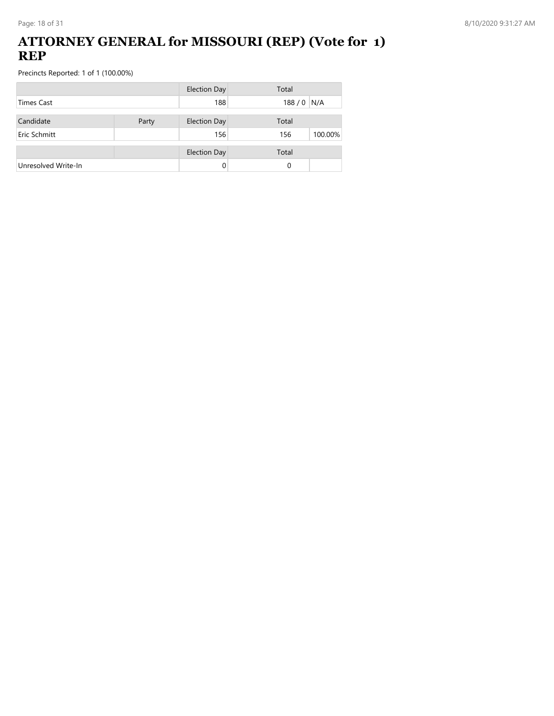#### **ATTORNEY GENERAL for MISSOURI (REP) (Vote for 1) REP**

|                     |       | <b>Election Day</b> | Total          |
|---------------------|-------|---------------------|----------------|
| <b>Times Cast</b>   |       | 188                 | 188 / 0 N/A    |
| Candidate           | Party | <b>Election Day</b> | Total          |
| Eric Schmitt        |       | 156                 | 100.00%<br>156 |
|                     |       | <b>Election Day</b> | Total          |
| Unresolved Write-In |       |                     | 0              |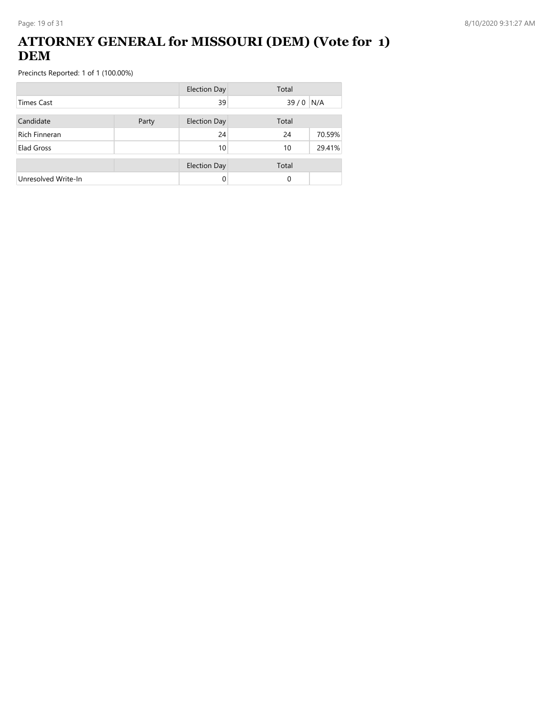#### **ATTORNEY GENERAL for MISSOURI (DEM) (Vote for 1) DEM**

|                      |  | <b>Election Day</b> | Total |        |
|----------------------|--|---------------------|-------|--------|
| <b>Times Cast</b>    |  | 39                  | 39/0  | N/A    |
| Candidate<br>Party   |  | <b>Election Day</b> | Total |        |
| <b>Rich Finneran</b> |  | 24                  | 24    | 70.59% |
| Elad Gross           |  | 10                  | 10    | 29.41% |
|                      |  | <b>Election Day</b> | Total |        |
| Unresolved Write-In  |  | 0                   | 0     |        |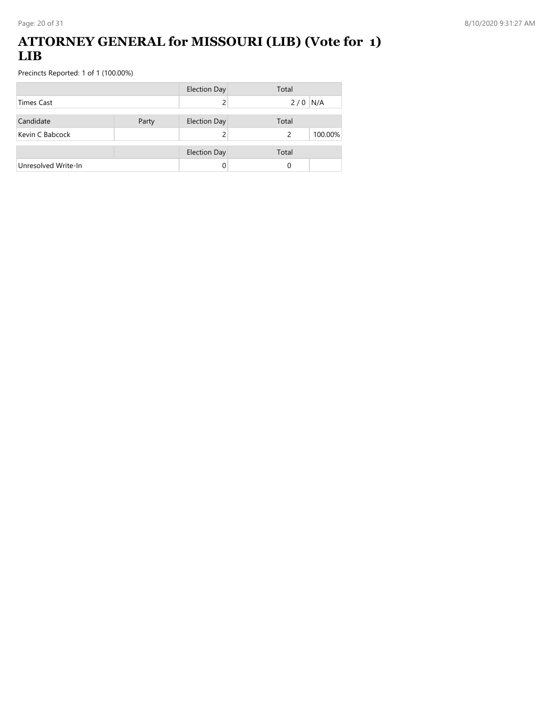#### **ATTORNEY GENERAL for MISSOURI (LIB) (Vote for 1) LIB**

|                     |       | <b>Election Day</b> | Total        |
|---------------------|-------|---------------------|--------------|
| <b>Times Cast</b>   |       |                     | N/A<br>2/0   |
| Candidate           | Party | <b>Election Day</b> | Total        |
| Kevin C Babcock     |       |                     | 100.00%<br>2 |
|                     |       | <b>Election Day</b> | Total        |
| Unresolved Write-In |       | 0                   | 0            |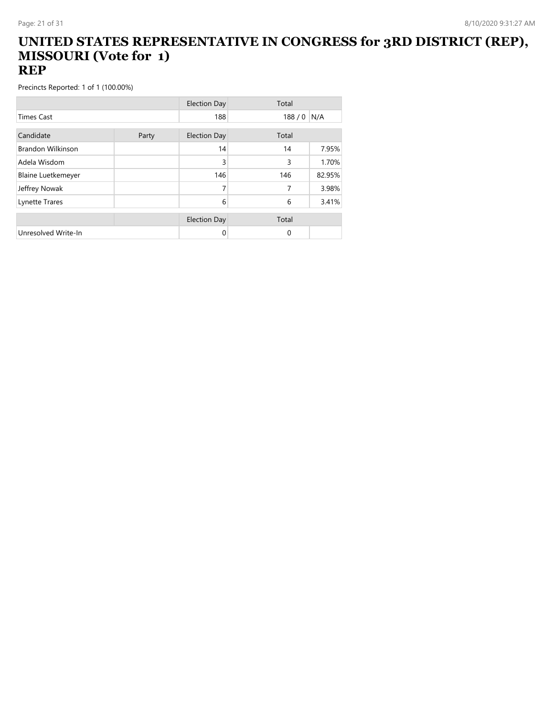#### **UNITED STATES REPRESENTATIVE IN CONGRESS for 3RD DISTRICT (REP), MISSOURI (Vote for 1) REP**

|                           |       | <b>Election Day</b> | Total    |        |
|---------------------------|-------|---------------------|----------|--------|
| <b>Times Cast</b>         |       | 188                 | 188/0    | N/A    |
| Candidate                 |       | <b>Election Day</b> | Total    |        |
|                           | Party |                     |          |        |
| <b>Brandon Wilkinson</b>  |       | 14                  | 14       | 7.95%  |
| Adela Wisdom              |       | 3                   | 3        | 1.70%  |
| <b>Blaine Luetkemeyer</b> |       | 146                 | 146      | 82.95% |
| Jeffrey Nowak             |       | 7                   | 7        | 3.98%  |
| Lynette Trares            |       | 6                   | 6        | 3.41%  |
|                           |       |                     |          |        |
|                           |       | <b>Election Day</b> | Total    |        |
| Unresolved Write-In       |       | 0                   | $\Omega$ |        |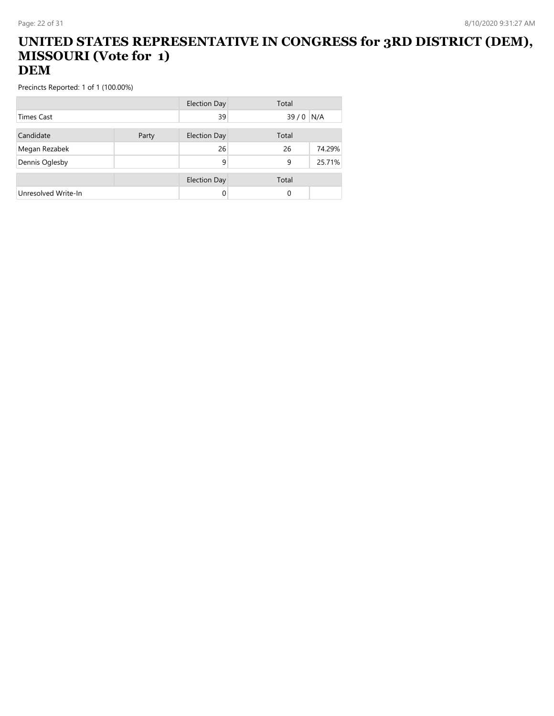#### **UNITED STATES REPRESENTATIVE IN CONGRESS for 3RD DISTRICT (DEM), MISSOURI (Vote for 1) DEM**

|                     |       | Election Day        | Total    |        |
|---------------------|-------|---------------------|----------|--------|
| <b>Times Cast</b>   |       | 39                  | 39/0     | N/A    |
| Candidate           | Party | <b>Election Day</b> | Total    |        |
| Megan Rezabek       |       | 26                  | 26       | 74.29% |
| Dennis Oglesby      |       | 9                   | 9        | 25.71% |
|                     |       | <b>Election Day</b> | Total    |        |
| Unresolved Write-In |       | 0                   | $\Omega$ |        |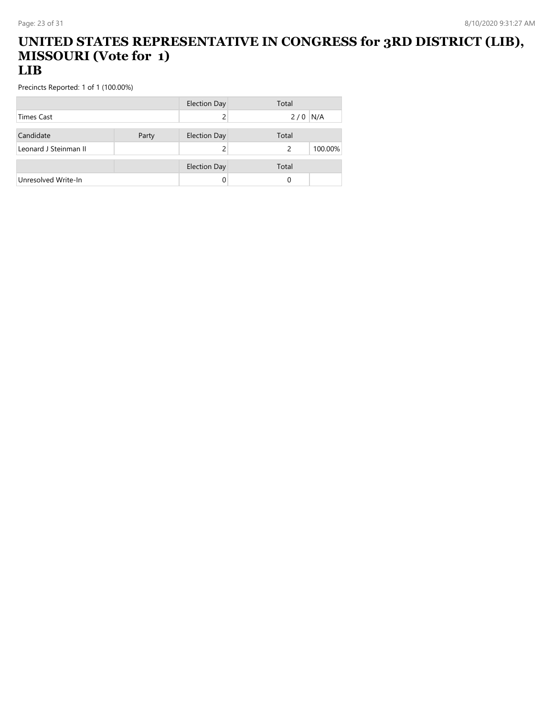#### **UNITED STATES REPRESENTATIVE IN CONGRESS for 3RD DISTRICT (LIB), MISSOURI (Vote for 1) LIB**

|                       |       | <b>Election Day</b> | Total |         |
|-----------------------|-------|---------------------|-------|---------|
| <b>Times Cast</b>     |       |                     | 2/0   | N/A     |
|                       |       |                     |       |         |
| Candidate             | Party | <b>Election Day</b> | Total |         |
| Leonard J Steinman II |       |                     | 2     | 100.00% |
|                       |       |                     |       |         |
|                       |       | <b>Election Day</b> | Total |         |
| Unresolved Write-In   |       |                     | 0     |         |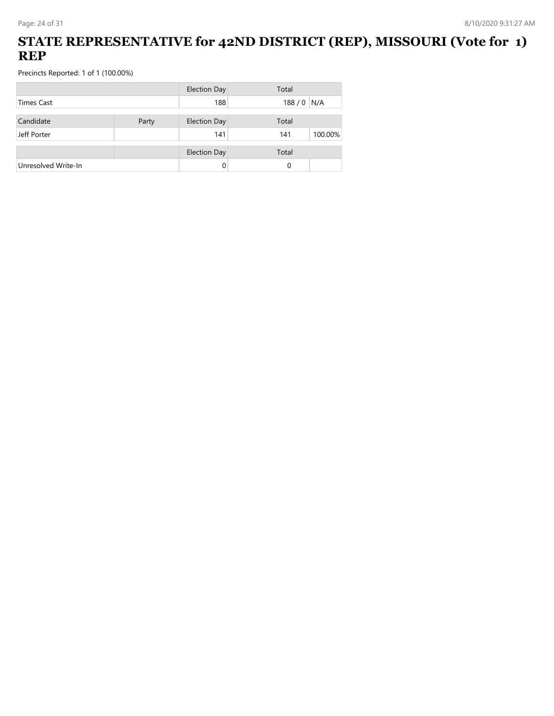### **STATE REPRESENTATIVE for 42ND DISTRICT (REP), MISSOURI (Vote for 1) REP**

|                     |       | <b>Election Day</b> | Total |         |
|---------------------|-------|---------------------|-------|---------|
| <b>Times Cast</b>   |       | 188                 | 188/0 | N/A     |
|                     |       |                     |       |         |
| Candidate           | Party | <b>Election Day</b> | Total |         |
| Jeff Porter         |       | 141                 | 141   | 100.00% |
|                     |       | <b>Election Day</b> | Total |         |
| Unresolved Write-In |       | 0                   | 0     |         |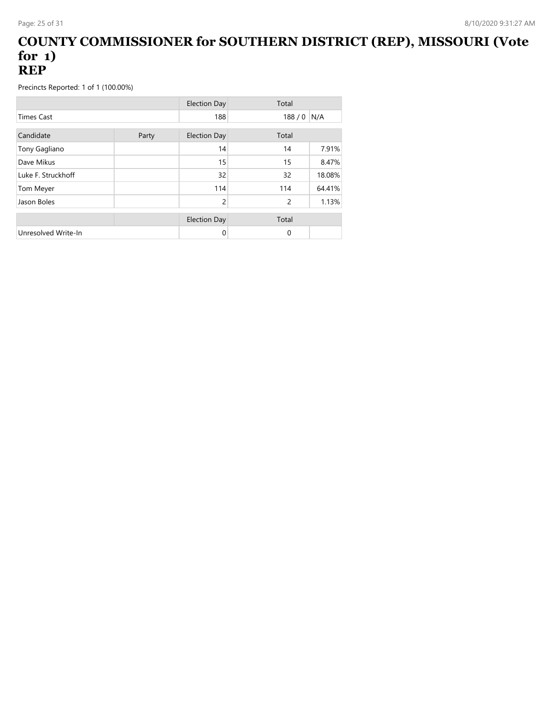#### **COUNTY COMMISSIONER for SOUTHERN DISTRICT (REP), MISSOURI (Vote for 1) REP**

|                     |       | <b>Election Day</b> | Total    |        |
|---------------------|-------|---------------------|----------|--------|
| <b>Times Cast</b>   |       | 188                 | 188/0    | N/A    |
| Candidate           | Party | <b>Election Day</b> | Total    |        |
| Tony Gagliano       |       | 14                  | 14       | 7.91%  |
| Dave Mikus          |       | 15                  | 15       | 8.47%  |
| Luke F. Struckhoff  |       | 32                  | 32       | 18.08% |
| Tom Meyer           |       | 114                 | 114      | 64.41% |
| Jason Boles         |       | 2                   | 2        | 1.13%  |
|                     |       | <b>Election Day</b> | Total    |        |
| Unresolved Write-In |       | 0                   | $\Omega$ |        |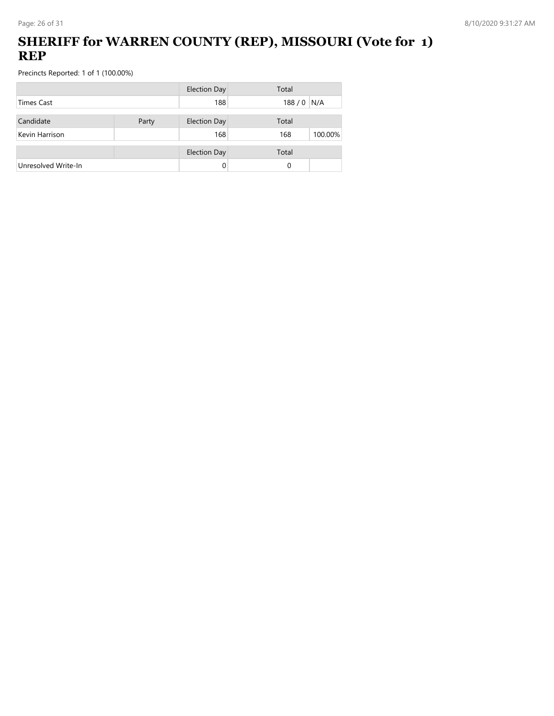## **SHERIFF for WARREN COUNTY (REP), MISSOURI (Vote for 1) REP**

|                     |       | <b>Election Day</b> | Total          |
|---------------------|-------|---------------------|----------------|
| Times Cast          |       | 188                 | 188/0<br>N/A   |
| Candidate           | Party | <b>Election Day</b> | Total          |
| Kevin Harrison      |       | 168                 | 100.00%<br>168 |
|                     |       | <b>Election Day</b> | Total          |
| Unresolved Write-In |       | 0                   | 0              |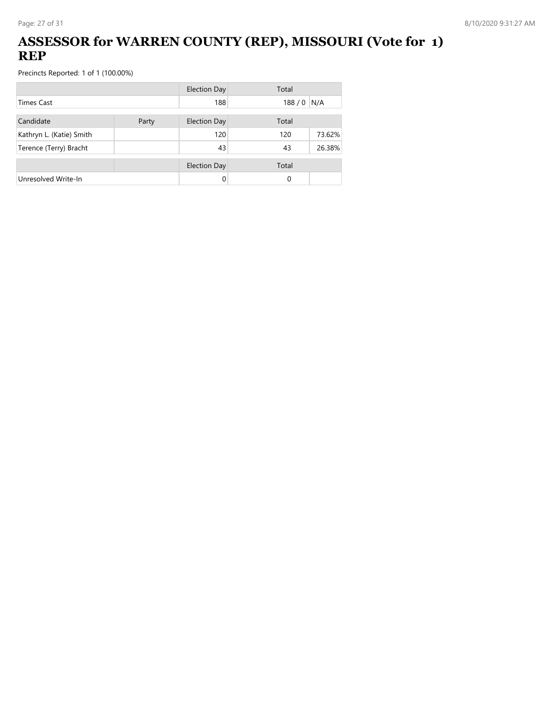## **ASSESSOR for WARREN COUNTY (REP), MISSOURI (Vote for 1) REP**

|                          |       | <b>Election Day</b> | Total |        |
|--------------------------|-------|---------------------|-------|--------|
| <b>Times Cast</b>        |       | 188                 | 188/0 | N/A    |
| Candidate                | Party | <b>Election Day</b> | Total |        |
| Kathryn L. (Katie) Smith |       | 120                 | 120   | 73.62% |
| Terence (Terry) Bracht   |       | 43                  | 43    | 26.38% |
|                          |       | <b>Election Day</b> | Total |        |
| Unresolved Write-In      |       |                     | 0     |        |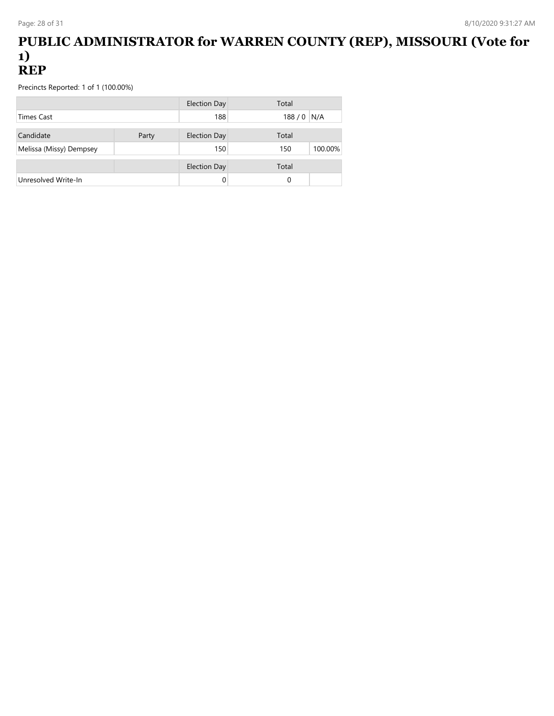#### **PUBLIC ADMINISTRATOR for WARREN COUNTY (REP), MISSOURI (Vote for 1) REP**

|                         |       | Election Day        | Total       |         |
|-------------------------|-------|---------------------|-------------|---------|
| <b>Times Cast</b>       |       | 188                 | $188/0$ N/A |         |
| Candidate               | Party | <b>Election Day</b> | Total       |         |
| Melissa (Missy) Dempsey |       | 150                 | 150         | 100.00% |
|                         |       | <b>Election Day</b> | Total       |         |
| Unresolved Write-In     |       |                     | 0           |         |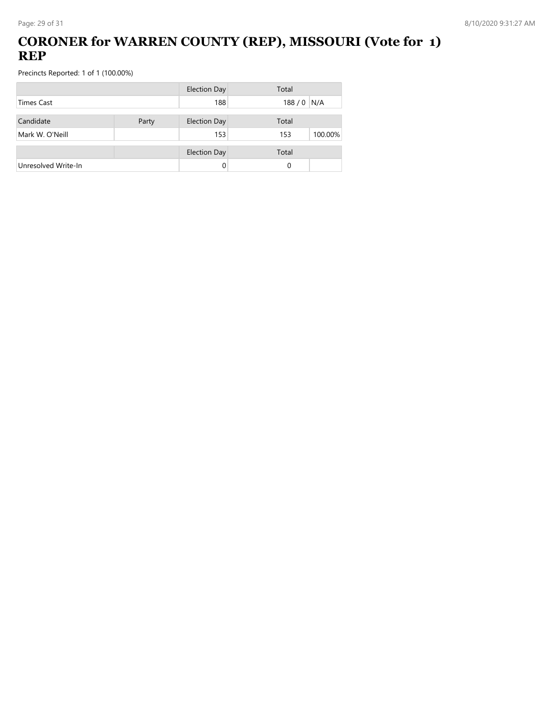## **CORONER for WARREN COUNTY (REP), MISSOURI (Vote for 1) REP**

|                     |       | <b>Election Day</b> | Total          |
|---------------------|-------|---------------------|----------------|
| <b>Times Cast</b>   |       | 188                 | 188/0<br>N/A   |
| Candidate           | Party | <b>Election Day</b> | Total          |
| Mark W. O'Neill     |       | 153                 | 100.00%<br>153 |
|                     |       | <b>Election Day</b> | Total          |
| Unresolved Write-In |       |                     | 0              |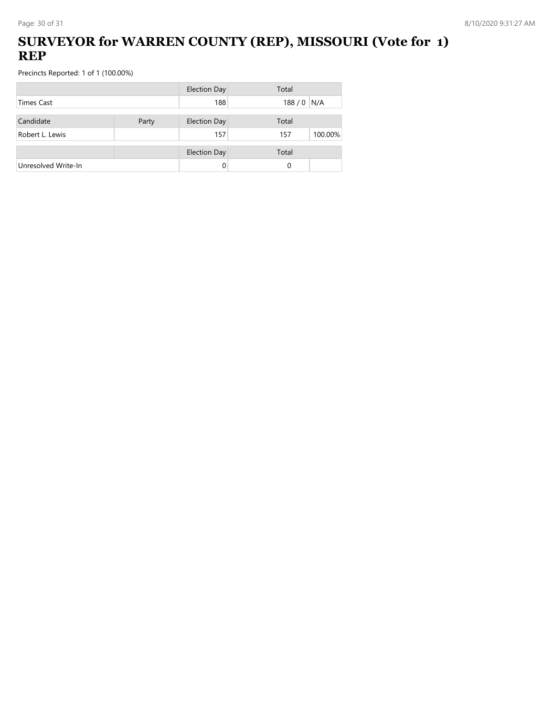### **SURVEYOR for WARREN COUNTY (REP), MISSOURI (Vote for 1) REP**

|                     |       | <b>Election Day</b> | Total          |
|---------------------|-------|---------------------|----------------|
| <b>Times Cast</b>   |       | 188                 | 188 / 0 N/A    |
| Candidate           | Party | <b>Election Day</b> | Total          |
| Robert L. Lewis     |       | 157                 | 100.00%<br>157 |
|                     |       | <b>Election Day</b> | Total          |
| Unresolved Write-In |       |                     | 0              |